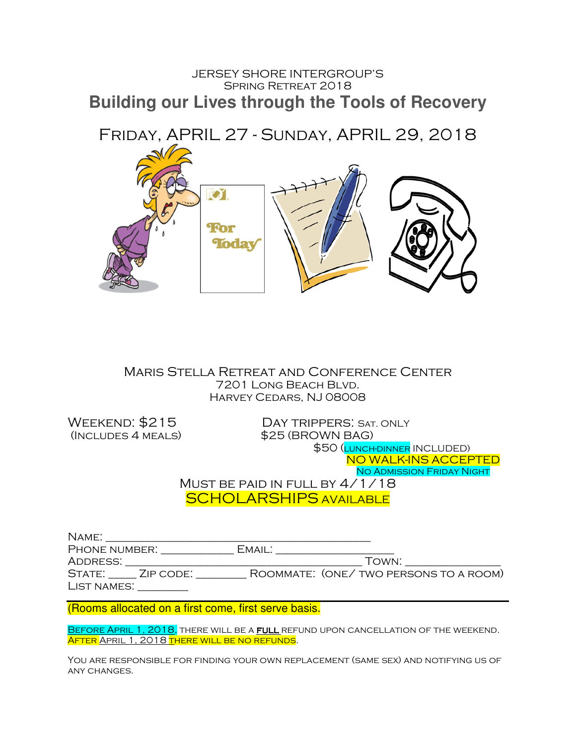## JERSEY SHORE INTERGROUP'S SPRING RETREAT 2018 **Building our Lives through the Tools of Recovery**



Maris Stella Retreat and Conference Center 7201 Long Beach Blvd. Harvey Cedars, NJ 08008

WEEKEND: \$215 DAY TRIPPERS: SAT. ONLY (Includes 4 meals) \$25 (BROWN BAG) \$50 (LUNCH-DINNER INCLUDED) NO WALK-INS ACCEPTED No Admission Friday Night MUST BE PAID IN FULL BY  $4/1/18$ 

SCHOLARSHIPS AVAILABLE

| NAME:         |           |                                       |
|---------------|-----------|---------------------------------------|
| PHONE NUMBER: |           | EMAIL:                                |
| ADDRESS:      |           | TOWN:                                 |
| STATE:        | ZIP CODE: | ROOMMATE: (ONE/TWO PERSONS TO A ROOM) |
| LIST NAMES:   |           |                                       |

(Rooms allocated on a first come, first serve basis.

BEFORE APRIL 1, 2018, THERE WILL BE A FULL REFUND UPON CANCELLATION OF THE WEEKEND. AFTER APRIL 1, 2018 THERE WILL BE NO REFUNDS.

You are responsible for finding your own replacement (same sex) and notifying us of any changes.